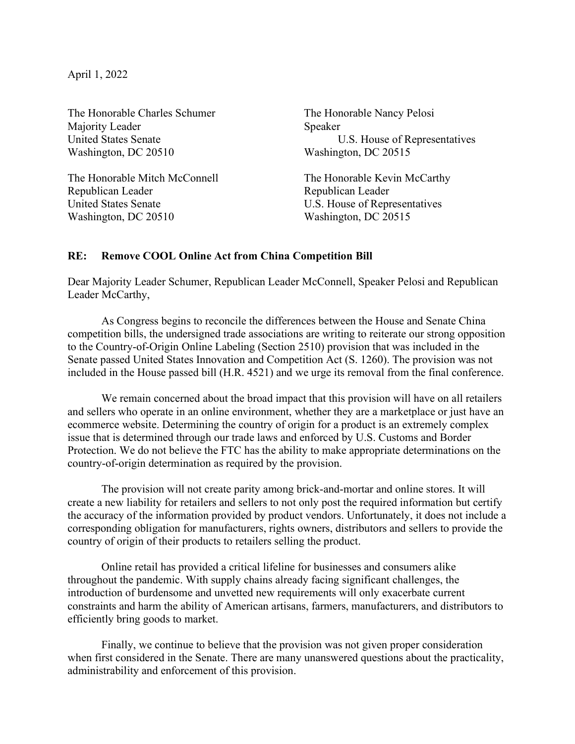April 1, 2022

The Honorable Charles Schumer The Honorable Nancy Pelosi Majority Leader Speaker Washington, DC 20510 Washington, DC 20515

The Honorable Mitch McConnell The Honorable Kevin McCarthy Republican Leader Republican Leader United States Senate U.S. House of Representatives Washington, DC 20510 Washington, DC 20515

United States Senate **U.S.** House of Representatives

## RE: Remove COOL Online Act from China Competition Bill

Dear Majority Leader Schumer, Republican Leader McConnell, Speaker Pelosi and Republican Leader McCarthy,

 As Congress begins to reconcile the differences between the House and Senate China competition bills, the undersigned trade associations are writing to reiterate our strong opposition to the Country-of-Origin Online Labeling (Section 2510) provision that was included in the Senate passed United States Innovation and Competition Act (S. 1260). The provision was not included in the House passed bill (H.R. 4521) and we urge its removal from the final conference.

We remain concerned about the broad impact that this provision will have on all retailers and sellers who operate in an online environment, whether they are a marketplace or just have an ecommerce website. Determining the country of origin for a product is an extremely complex issue that is determined through our trade laws and enforced by U.S. Customs and Border Protection. We do not believe the FTC has the ability to make appropriate determinations on the country-of-origin determination as required by the provision.

The provision will not create parity among brick-and-mortar and online stores. It will create a new liability for retailers and sellers to not only post the required information but certify the accuracy of the information provided by product vendors. Unfortunately, it does not include a corresponding obligation for manufacturers, rights owners, distributors and sellers to provide the country of origin of their products to retailers selling the product.

Online retail has provided a critical lifeline for businesses and consumers alike throughout the pandemic. With supply chains already facing significant challenges, the introduction of burdensome and unvetted new requirements will only exacerbate current constraints and harm the ability of American artisans, farmers, manufacturers, and distributors to efficiently bring goods to market.

Finally, we continue to believe that the provision was not given proper consideration when first considered in the Senate. There are many unanswered questions about the practicality, administrability and enforcement of this provision.